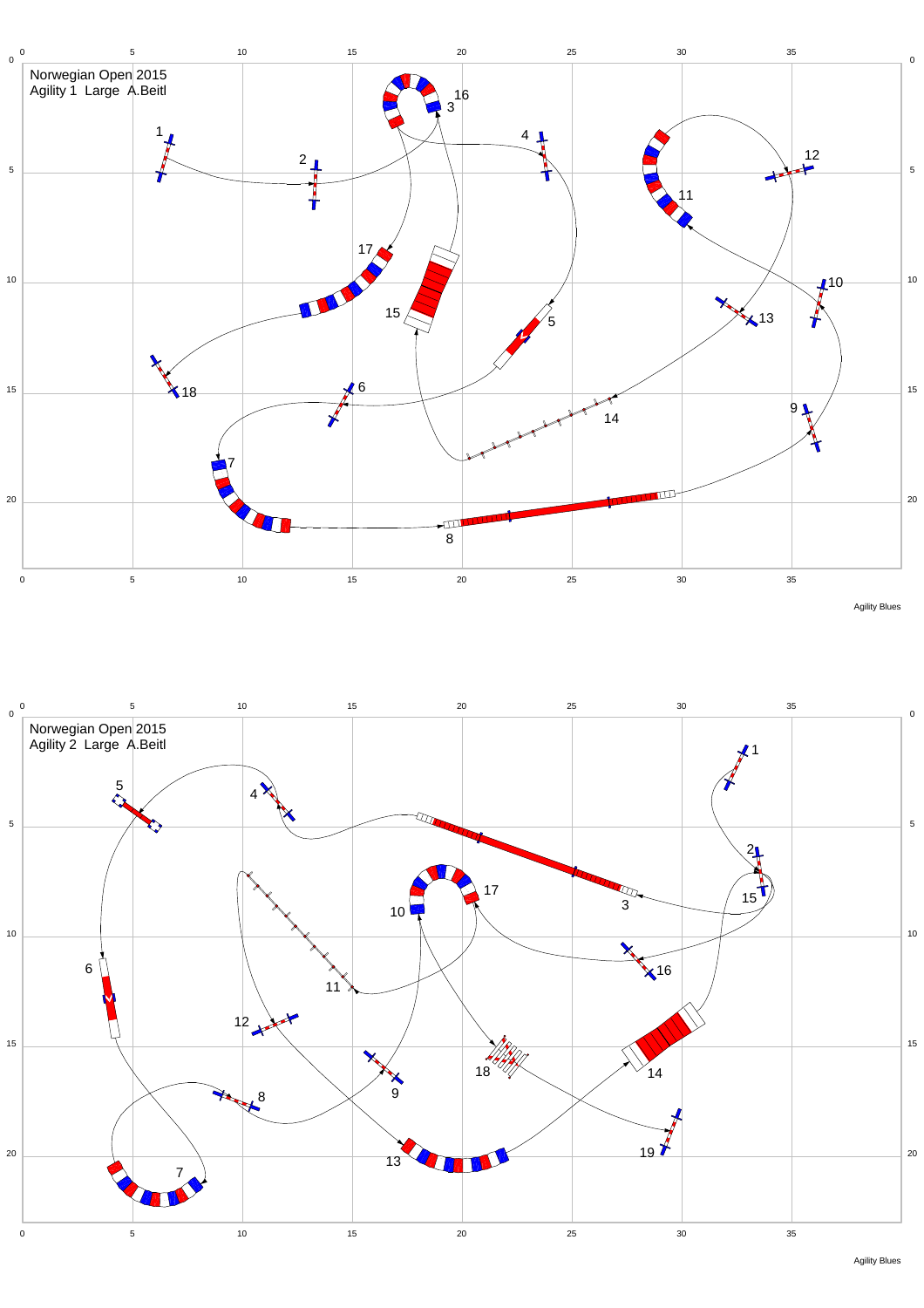





Agility Blues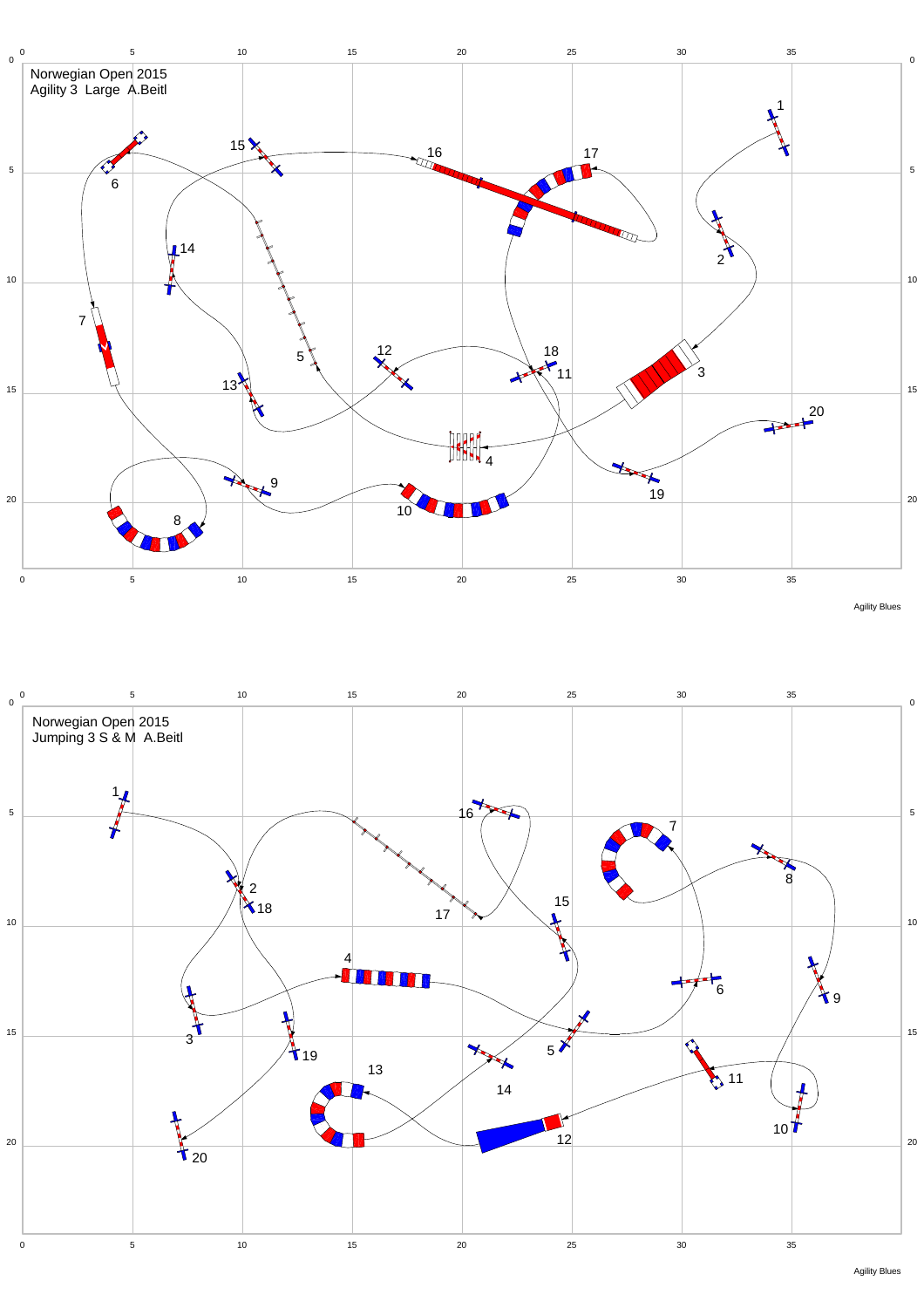



Agility Blues